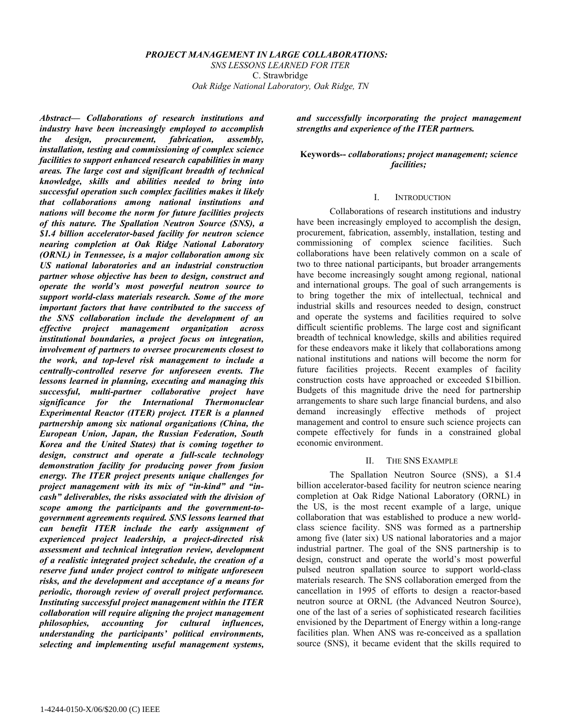### *PROJECT MANAGEMENT IN LARGE COLLABORATIONS: SNS LESSONS LEARNED FOR ITER*  C. Strawbridge *Oak Ridge National Laboratory, Oak Ridge, TN*

*Abstract***—** *Collaborations of research institutions and industry have been increasingly employed to accomplish the design, procurement, fabrication, assembly, installation, testing and commissioning of complex science facilities to support enhanced research capabilities in many areas. The large cost and significant breadth of technical knowledge, skills and abilities needed to bring into successful operation such complex facilities makes it likely that collaborations among national institutions and nations will become the norm for future facilities projects of this nature. The Spallation Neutron Source (SNS), a \$1.4 billion accelerator-based facility for neutron science nearing completion at Oak Ridge National Laboratory (ORNL) in Tennessee, is a major collaboration among six US national laboratories and an industrial construction partner whose objective has been to design, construct and operate the world's most powerful neutron source to support world-class materials research. Some of the more important factors that have contributed to the success of the SNS collaboration include the development of an effective project management organization across institutional boundaries, a project focus on integration, involvement of partners to oversee procurements closest to the work, and top-level risk management to include a centrally-controlled reserve for unforeseen events. The lessons learned in planning, executing and managing this successful, multi-partner collaborative project have significance for the International Thermonuclear Experimental Reactor (ITER) project. ITER is a planned partnership among six national organizations (China, the European Union, Japan, the Russian Federation, South Korea and the United States) that is coming together to design, construct and operate a full-scale technology demonstration facility for producing power from fusion energy. The ITER project presents unique challenges for project management with its mix of "in-kind" and "incash" deliverables, the risks associated with the division of scope among the participants and the government-togovernment agreements required. SNS lessons learned that can benefit ITER include the early assignment of experienced project leadership, a project-directed risk assessment and technical integration review, development of a realistic integrated project schedule, the creation of a reserve fund under project control to mitigate unforeseen risks, and the development and acceptance of a means for periodic, thorough review of overall project performance. Instituting successful project management within the ITER collaboration will require aligning the project management philosophies, accounting for cultural influences, understanding the participants' political environments, selecting and implementing useful management systems,* 

*and successfully incorporating the project management strengths and experience of the ITER partners.* 

### **Keywords--** *collaborations; project management; science facilities;*

#### I. INTRODUCTION

Collaborations of research institutions and industry have been increasingly employed to accomplish the design, procurement, fabrication, assembly, installation, testing and commissioning of complex science facilities. Such collaborations have been relatively common on a scale of two to three national participants, but broader arrangements have become increasingly sought among regional, national and international groups. The goal of such arrangements is to bring together the mix of intellectual, technical and industrial skills and resources needed to design, construct and operate the systems and facilities required to solve difficult scientific problems. The large cost and significant breadth of technical knowledge, skills and abilities required for these endeavors make it likely that collaborations among national institutions and nations will become the norm for future facilities projects. Recent examples of facility construction costs have approached or exceeded \$1billion. Budgets of this magnitude drive the need for partnership arrangements to share such large financial burdens, and also demand increasingly effective methods of project management and control to ensure such science projects can compete effectively for funds in a constrained global economic environment.

#### II. THE SNS EXAMPLE

The Spallation Neutron Source (SNS), a \$1.4 billion accelerator-based facility for neutron science nearing completion at Oak Ridge National Laboratory (ORNL) in the US, is the most recent example of a large, unique collaboration that was established to produce a new worldclass science facility. SNS was formed as a partnership among five (later six) US national laboratories and a major industrial partner. The goal of the SNS partnership is to design, construct and operate the world's most powerful pulsed neutron spallation source to support world-class materials research. The SNS collaboration emerged from the cancellation in 1995 of efforts to design a reactor-based neutron source at ORNL (the Advanced Neutron Source), one of the last of a series of sophisticated research facilities envisioned by the Department of Energy within a long-range facilities plan. When ANS was re-conceived as a spallation source (SNS), it became evident that the skills required to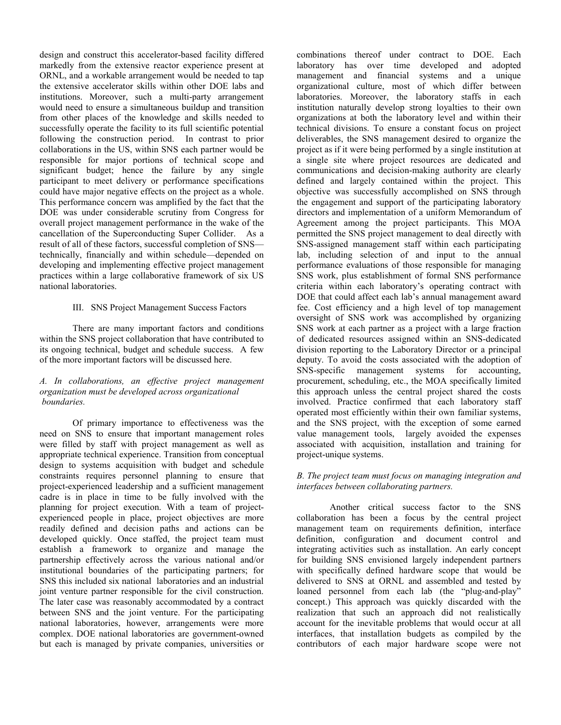design and construct this accelerator-based facility differed markedly from the extensive reactor experience present at ORNL, and a workable arrangement would be needed to tap the extensive accelerator skills within other DOE labs and institutions. Moreover, such a multi-party arrangement would need to ensure a simultaneous buildup and transition from other places of the knowledge and skills needed to successfully operate the facility to its full scientific potential following the construction period. In contrast to prior collaborations in the US, within SNS each partner would be responsible for major portions of technical scope and significant budget; hence the failure by any single participant to meet delivery or performance specifications could have major negative effects on the project as a whole. This performance concern was amplified by the fact that the DOE was under considerable scrutiny from Congress for overall project management performance in the wake of the cancellation of the Superconducting Super Collider. As a result of all of these factors, successful completion of SNS technically, financially and within schedule—depended on developing and implementing effective project management practices within a large collaborative framework of six US national laboratories.

### III. SNS Project Management Success Factors

There are many important factors and conditions within the SNS project collaboration that have contributed to its ongoing technical, budget and schedule success. A few of the more important factors will be discussed here.

# *A. In collaborations, an effective project management organization must be developed across organizational boundaries.*

Of primary importance to effectiveness was the need on SNS to ensure that important management roles were filled by staff with project management as well as appropriate technical experience. Transition from conceptual design to systems acquisition with budget and schedule constraints requires personnel planning to ensure that project-experienced leadership and a sufficient management cadre is in place in time to be fully involved with the planning for project execution. With a team of projectexperienced people in place, project objectives are more readily defined and decision paths and actions can be developed quickly. Once staffed, the project team must establish a framework to organize and manage the partnership effectively across the various national and/or institutional boundaries of the participating partners; for SNS this included six national laboratories and an industrial joint venture partner responsible for the civil construction. The later case was reasonably accommodated by a contract between SNS and the joint venture. For the participating national laboratories, however, arrangements were more complex. DOE national laboratories are government-owned but each is managed by private companies, universities or

combinations thereof under contract to DOE. Each laboratory has over time developed and adopted management and financial systems and a unique organizational culture, most of which differ between laboratories. Moreover, the laboratory staffs in each institution naturally develop strong loyalties to their own organizations at both the laboratory level and within their technical divisions. To ensure a constant focus on project deliverables, the SNS management desired to organize the project as if it were being performed by a single institution at a single site where project resources are dedicated and communications and decision-making authority are clearly defined and largely contained within the project. This objective was successfully accomplished on SNS through the engagement and support of the participating laboratory directors and implementation of a uniform Memorandum of Agreement among the project participants. This MOA permitted the SNS project management to deal directly with SNS-assigned management staff within each participating lab, including selection of and input to the annual performance evaluations of those responsible for managing SNS work, plus establishment of formal SNS performance criteria within each laboratory's operating contract with DOE that could affect each lab's annual management award fee. Cost efficiency and a high level of top management oversight of SNS work was accomplished by organizing SNS work at each partner as a project with a large fraction of dedicated resources assigned within an SNS-dedicated division reporting to the Laboratory Director or a principal deputy. To avoid the costs associated with the adoption of SNS-specific management systems for accounting, procurement, scheduling, etc., the MOA specifically limited this approach unless the central project shared the costs involved. Practice confirmed that each laboratory staff operated most efficiently within their own familiar systems, and the SNS project, with the exception of some earned value management tools, largely avoided the expenses associated with acquisition, installation and training for project-unique systems.

### *B. The project team must focus on managing integration and interfaces between collaborating partners.*

Another critical success factor to the SNS collaboration has been a focus by the central project management team on requirements definition, interface definition, configuration and document control and integrating activities such as installation. An early concept for building SNS envisioned largely independent partners with specifically defined hardware scope that would be delivered to SNS at ORNL and assembled and tested by loaned personnel from each lab (the "plug-and-play" concept.) This approach was quickly discarded with the realization that such an approach did not realistically account for the inevitable problems that would occur at all interfaces, that installation budgets as compiled by the contributors of each major hardware scope were not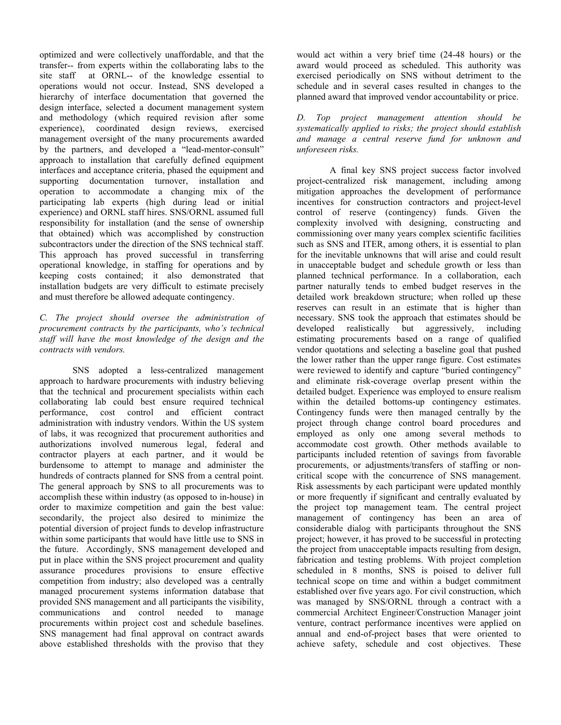optimized and were collectively unaffordable, and that the transfer-- from experts within the collaborating labs to the site staff at ORNL-- of the knowledge essential to operations would not occur. Instead, SNS developed a hierarchy of interface documentation that governed the design interface, selected a document management system and methodology (which required revision after some experience), coordinated design reviews, exercised management oversight of the many procurements awarded by the partners, and developed a "lead-mentor-consult" approach to installation that carefully defined equipment interfaces and acceptance criteria, phased the equipment and supporting documentation turnover, installation and operation to accommodate a changing mix of the participating lab experts (high during lead or initial experience) and ORNL staff hires. SNS/ORNL assumed full responsibility for installation (and the sense of ownership that obtained) which was accomplished by construction subcontractors under the direction of the SNS technical staff. This approach has proved successful in transferring operational knowledge, in staffing for operations and by keeping costs contained; it also demonstrated that installation budgets are very difficult to estimate precisely and must therefore be allowed adequate contingency.

# *C. The project should oversee the administration of procurement contracts by the participants, who's technical staff will have the most knowledge of the design and the contracts with vendors.*

SNS adopted a less-centralized management approach to hardware procurements with industry believing that the technical and procurement specialists within each collaborating lab could best ensure required technical performance, cost control and efficient contract administration with industry vendors. Within the US system of labs, it was recognized that procurement authorities and authorizations involved numerous legal, federal and contractor players at each partner, and it would be burdensome to attempt to manage and administer the hundreds of contracts planned for SNS from a central point. The general approach by SNS to all procurements was to accomplish these within industry (as opposed to in-house) in order to maximize competition and gain the best value: secondarily, the project also desired to minimize the potential diversion of project funds to develop infrastructure within some participants that would have little use to SNS in the future. Accordingly, SNS management developed and put in place within the SNS project procurement and quality assurance procedures provisions to ensure effective competition from industry; also developed was a centrally managed procurement systems information database that provided SNS management and all participants the visibility, communications and control needed to manage procurements within project cost and schedule baselines. SNS management had final approval on contract awards above established thresholds with the proviso that they

would act within a very brief time (24-48 hours) or the award would proceed as scheduled. This authority was exercised periodically on SNS without detriment to the schedule and in several cases resulted in changes to the planned award that improved vendor accountability or price.

*D. Top project management attention should be systematically applied to risks; the project should establish and manage a central reserve fund for unknown and unforeseen risks.*

A final key SNS project success factor involved project-centralized risk management, including among mitigation approaches the development of performance incentives for construction contractors and project-level control of reserve (contingency) funds. Given the complexity involved with designing, constructing and commissioning over many years complex scientific facilities such as SNS and ITER, among others, it is essential to plan for the inevitable unknowns that will arise and could result in unacceptable budget and schedule growth or less than planned technical performance. In a collaboration, each partner naturally tends to embed budget reserves in the detailed work breakdown structure; when rolled up these reserves can result in an estimate that is higher than necessary. SNS took the approach that estimates should be developed realistically but aggressively, including estimating procurements based on a range of qualified vendor quotations and selecting a baseline goal that pushed the lower rather than the upper range figure. Cost estimates were reviewed to identify and capture "buried contingency" and eliminate risk-coverage overlap present within the detailed budget. Experience was employed to ensure realism within the detailed bottoms-up contingency estimates. Contingency funds were then managed centrally by the project through change control board procedures and employed as only one among several methods to accommodate cost growth. Other methods available to participants included retention of savings from favorable procurements, or adjustments/transfers of staffing or noncritical scope with the concurrence of SNS management. Risk assessments by each participant were updated monthly or more frequently if significant and centrally evaluated by the project top management team. The central project management of contingency has been an area of considerable dialog with participants throughout the SNS project; however, it has proved to be successful in protecting the project from unacceptable impacts resulting from design, fabrication and testing problems. With project completion scheduled in 8 months, SNS is poised to deliver full technical scope on time and within a budget commitment established over five years ago. For civil construction, which was managed by SNS/ORNL through a contract with a commercial Architect Engineer/Construction Manager joint venture, contract performance incentives were applied on annual and end-of-project bases that were oriented to achieve safety, schedule and cost objectives. These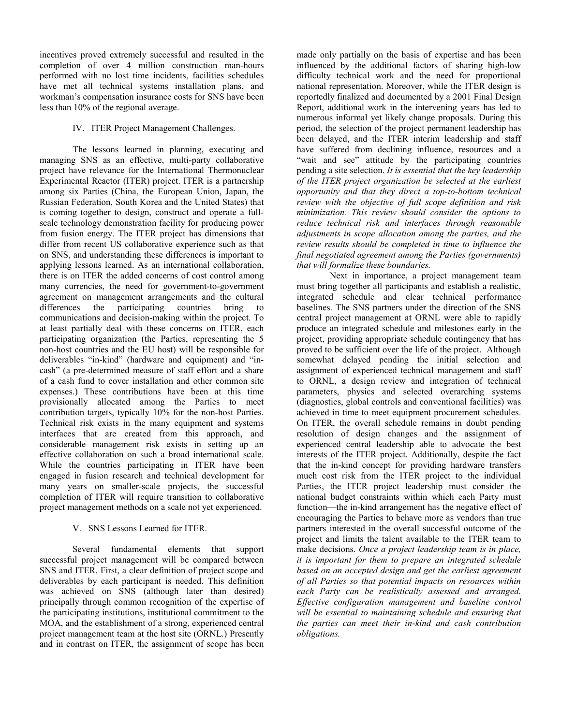incentives proved extremely successful and resulted in the completion of over 4 million construction man-hours performed with no lost time incidents, facilities schedules have met all technical systems installation plans, and workman's compensation insurance costs for SNS have been less than 10% of the regional average.

# IV. ITER Project Management Challenges.

The lessons learned in planning, executing and managing SNS as an effective, multi-party collaborative project have relevance for the International Thermonuclear Experimental Reactor (ITER) project. ITER is a partnership among six Parties (China, the European Union, Japan, the Russian Federation, South Korea and the United States) that is coming together to design, construct and operate a fullscale technology demonstration facility for producing power from fusion energy. The ITER project has dimensions that differ from recent US collaborative experience such as that on SNS, and understanding these differences is important to applying lessons learned. As an international collaboration, there is on ITER the added concerns of cost control among many currencies, the need for government-to-government agreement on management arrangements and the cultural differences the participating countries bring to communications and decision-making within the project. To at least partially deal with these concerns on ITER, each participating organization (the Parties, representing the 5 non-host countries and the EU host) will be responsible for deliverables "in-kind" (hardware and equipment) and "incash" (a pre-determined measure of staff effort and a share of a cash fund to cover installation and other common site expenses.) These contributions have been at this time provisionally allocated among the Parties to meet contribution targets, typically 10% for the non-host Parties. Technical risk exists in the many equipment and systems interfaces that are created from this approach, and considerable management risk exists in setting up an effective collaboration on such a broad international scale. While the countries participating in ITER have been engaged in fusion research and technical development for many years on smaller-scale projects, the successful completion of ITER will require transition to collaborative project management methods on a scale not yet experienced.

# V. SNS Lessons Learned for ITER.

Several fundamental elements that support successful project management will be compared between SNS and ITER. First, a clear definition of project scope and deliverables by each participant is needed. This definition was achieved on SNS (although later than desired) principally through common recognition of the expertise of the participating institutions, institutional commitment to the MOA, and the establishment of a strong, experienced central project management team at the host site (ORNL.) Presently and in contrast on ITER, the assignment of scope has been

made only partially on the basis of expertise and has been influenced by the additional factors of sharing high-low difficulty technical work and the need for proportional national representation. Moreover, while the ITER design is reportedly finalized and documented by a 2001 Final Design Report, additional work in the intervening years has led to numerous informal yet likely change proposals. During this period, the selection of the project permanent leadership has been delayed, and the ITER interim leadership and staff have suffered from declining influence, resources and a "wait and see" attitude by the participating countries pending a site selection. *It is essential that the key leadership of the ITER project organization be selected at the earliest opportunity and that they direct a top-to-bottom technical review with the objective of full scope definition and risk minimization. This review should consider the options to reduce technical risk and interfaces through reasonable adjustments in scope allocation among the parties, and the review results should be completed in time to influence the final negotiated agreement among the Parties (governments) that will formalize these boundaries.*

Next in importance, a project management team must bring together all participants and establish a realistic, integrated schedule and clear technical performance baselines. The SNS partners under the direction of the SNS central project management at ORNL were able to rapidly produce an integrated schedule and milestones early in the project, providing appropriate schedule contingency that has proved to be sufficient over the life of the project. Although somewhat delayed pending the initial selection and assignment of experienced technical management and staff to ORNL, a design review and integration of technical parameters, physics and selected overarching systems (diagnostics, global controls and conventional facilities) was achieved in time to meet equipment procurement schedules. On ITER, the overall schedule remains in doubt pending resolution of design changes and the assignment of experienced central leadership able to advocate the best interests of the ITER project. Additionally, despite the fact that the in-kind concept for providing hardware transfers much cost risk from the ITER project to the individual Parties, the ITER project leadership must consider the national budget constraints within which each Party must function—the in-kind arrangement has the negative effect of encouraging the Parties to behave more as vendors than true partners interested in the overall successful outcome of the project and limits the talent available to the ITER team to make decisions. *Once a project leadership team is in place, it is important for them to prepare an integrated schedule based on an accepted design and get the earliest agreement of all Parties so that potential impacts on resources within each Party can be realistically assessed and arranged. Effective configuration management and baseline control will be essential to maintaining schedule and ensuring that the parties can meet their in-kind and cash contribution obligations.*